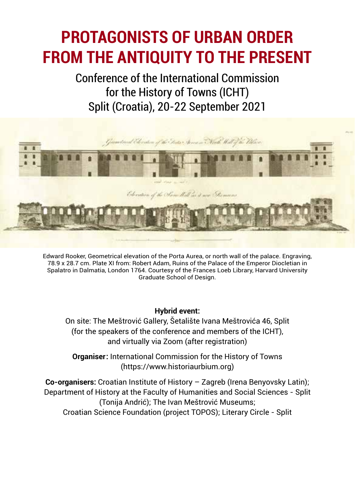# **PROTAGONISTS OF URBAN ORDER FROM THE ANTIQUITY TO THE PRESENT**

Conference of the International Commission for the History of Towns (ICHT) Split (Croatia), 20-22 September 2021



Edward Rooker, Geometrical elevation of the Porta Aurea, or north wall of the palace. Engraving, 78.9 x 28.7 cm. Plate XI from: Robert Adam, Ruins of the Palace of the Emperor Diocletian in Spalatro in Dalmatia, London 1764. Courtesy of the Frances Loeb Library, Harvard University Graduate School of Design.

#### **Hybrid event:**

On site: The Meštrović Gallery, Šetalište Ivana Meštrovića 46, Split (for the speakers of the conference and members of the ICHT), and virtually via Zoom (after registration)

**Organiser:** International Commission for the History of Towns (https://www.historiaurbium.org)

**Co-organisers:** Croatian Institute of History – Zagreb (Irena Benyovsky Latin); Department of History at the Faculty of Humanities and Social Sciences - Split (Tonija Andrić); The Ivan Meštrović Museums; Croatian Science Foundation (project TOPOS); Literary Circle - Split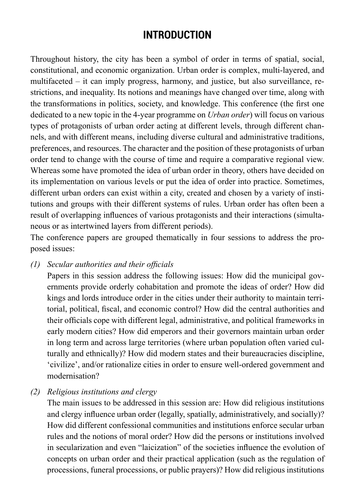## **INTRODUCTION**

Throughout history, the city has been a symbol of order in terms of spatial, social, constitutional, and economic organization. Urban order is complex, multi-layered, and multifaceted – it can imply progress, harmony, and justice, but also surveillance, restrictions, and inequality. Its notions and meanings have changed over time, along with the transformations in politics, society, and knowledge. This conference (the first one dedicated to a new topic in the 4-year programme on *Urban order*) will focus on various types of protagonists of urban order acting at different levels, through different channels, and with different means, including diverse cultural and administrative traditions, preferences, and resources. The character and the position of these protagonists of urban order tend to change with the course of time and require a comparative regional view. Whereas some have promoted the idea of urban order in theory, others have decided on its implementation on various levels or put the idea of order into practice. Sometimes, different urban orders can exist within a city, created and chosen by a variety of institutions and groups with their different systems of rules. Urban order has often been a result of overlapping influences of various protagonists and their interactions (simultaneous or as intertwined layers from different periods).

The conference papers are grouped thematically in four sessions to address the proposed issues:

*(1) Secular authorities and their officials*

Papers in this session address the following issues: How did the municipal governments provide orderly cohabitation and promote the ideas of order? How did kings and lords introduce order in the cities under their authority to maintain territorial, political, fiscal, and economic control? How did the central authorities and their officials cope with different legal, administrative, and political frameworks in early modern cities? How did emperors and their governors maintain urban order in long term and across large territories (where urban population often varied culturally and ethnically)? How did modern states and their bureaucracies discipline, 'civilize', and/or rationalize cities in order to ensure well-ordered government and modernisation?

*(2) Religious institutions and clergy* 

The main issues to be addressed in this session are: How did religious institutions and clergy influence urban order (legally, spatially, administratively, and socially)? How did different confessional communities and institutions enforce secular urban rules and the notions of moral order? How did the persons or institutions involved in secularization and even "laicization" of the societies influence the evolution of concepts on urban order and their practical application (such as the regulation of processions, funeral processions, or public prayers)? How did religious institutions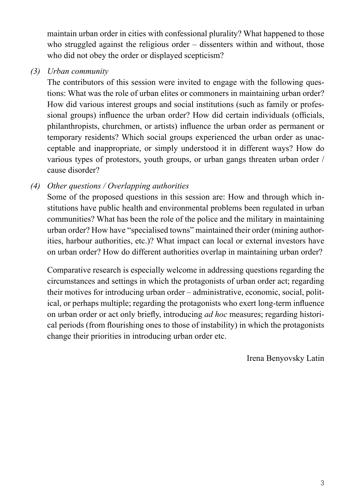maintain urban order in cities with confessional plurality? What happened to those who struggled against the religious order – dissenters within and without, those who did not obey the order or displayed scepticism?

*(3) Urban community* 

The contributors of this session were invited to engage with the following questions: What was the role of urban elites or commoners in maintaining urban order? How did various interest groups and social institutions (such as family or professional groups) influence the urban order? How did certain individuals (officials, philanthropists, churchmen, or artists) influence the urban order as permanent or temporary residents? Which social groups experienced the urban order as unacceptable and inappropriate, or simply understood it in different ways? How do various types of protestors, youth groups, or urban gangs threaten urban order / cause disorder?

*(4) Other questions / Overlapping authorities*

Some of the proposed questions in this session are: How and through which institutions have public health and environmental problems been regulated in urban communities? What has been the role of the police and the military in maintaining urban order? How have "specialised towns" maintained their order (mining authorities, harbour authorities, etc.)? What impact can local or external investors have on urban order? How do different authorities overlap in maintaining urban order?

Comparative research is especially welcome in addressing questions regarding the circumstances and settings in which the protagonists of urban order act; regarding their motives for introducing urban order – administrative, economic, social, political, or perhaps multiple; regarding the protagonists who exert long-term influence on urban order or act only briefly, introducing *ad hoc* measures; regarding historical periods (from flourishing ones to those of instability) in which the protagonists change their priorities in introducing urban order etc.

Irena Benyovsky Latin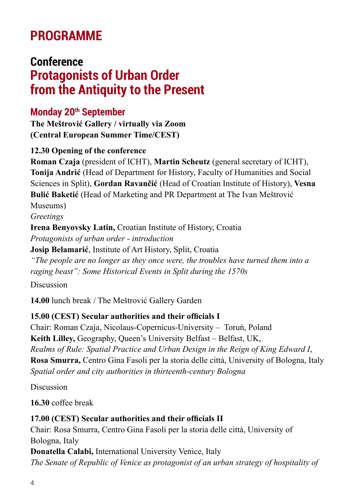# **PROGRAMME**

# **Conference Protagonists of Urban Order from the Antiquity to the Present**

#### **Monday 20th September**

**The Meštrović Gallery / virtually via Zoom (Central European Summer Time/CEST)**

#### **12.30 Opening of the conference**

**Roman Czaja** (president of ICHT), **Martin Scheutz** (general secretary of ICHT), **Tonija Andrić** (Head of Department for History, Faculty of Humanities and Social Sciences in Split), **Gordan Ravančić** (Head of Croatian Institute of History), **Vesna Bulić Baketić** (Head of Marketing and PR Department at The Ivan Meštrović Museums)

*Greetings* 

**Irena Benyovsky Latin,** Croatian Institute of History, Croatia *Protagonists of urban order - introduction* **Josip Belamarić**, Institute of Art History, Split, Croatia *"The people are no longer as they once were, the troubles have turned them into a raging beast": Some Historical Events in Split during the 1570s*

Discussion

**14.00** lunch break / The Meštrović Gallery Garden

#### **15.00 (CEST) Secular authorities and their officials I**

Chair: Roman Czaja, Nicolaus-Copernicus-University – Toruń, Poland **Keith Lilley,** Geography, Queen's University Belfast – Belfast, UK, *Realms of Rule: Spatial Practice and Urban Design in the Reign of King Edward I*, **Rosa Smurra,** Centro Gina Fasoli per la storia delle città, University of Bologna, Italy *Spatial order and city authorities in thirteenth-century Bologna*

Discussion

**16.30** coffee break

#### **17.00 (CEST) Secular authorities and their officials II**

Chair: Rosa Smurra, Centro Gina Fasoli per la storia delle città, University of Bologna, Italy

**Donatella Calabi,** International University Venice, Italy *The Senate of Republic of Venice as protagonist of an urban strategy of hospitality of*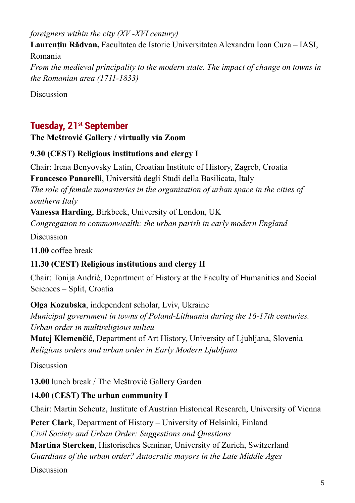*foreigners within the city (XV -XVI century)*

**Laurențiu Rădvan,** Facultatea de Istorie Universitatea Alexandru Ioan Cuza – IASI, Romania *From the medieval principality to the modern state. The impact of change on towns in the Romanian area (1711-1833)*

Discussion

## **Tuesday, 21st September**

#### **The Meštrović Gallery / virtually via Zoom**

#### **9.30 (CEST) Religious institutions and clergy I**

Chair: Irena Benyovsky Latin, Croatian Institute of History, Zagreb, Croatia **Francesco Panarelli**, Università degli Studi della Basilicata, Italy

*The role of female monasteries in the organization of urban space in the cities of southern Italy*

**Vanessa Harding**, Birkbeck, University of London, UK

*Congregation to commonwealth: the urban parish in early modern England*

Discussion

**11.00** coffee break

#### **11.30 (CEST) Religious institutions and clergy II**

Chair: Tonija Andrić, Department of History at the Faculty of Humanities and Social Sciences – Split, Croatia

**Olga Kozubska**, independent scholar, Lviv, Ukraine *Municipal government in towns of Poland-Lithuania during the 16-17th centuries. Urban order in multireligious milieu* 

**Matej Klemenčić**, Department of Art History, University of Ljubljana, Slovenia *Religious orders and urban order in Early Modern Ljubljana*

Discussion

**13.00** lunch break / The Meštrović Gallery Garden

#### **14.00 (CEST) The urban community I**

Chair: Martin Scheutz, Institute of Austrian Historical Research, University of Vienna

**Peter Clark**, Department of History – University of Helsinki, Finland *Civil Society and Urban Order: Suggestions and Questions* **Martina Stercken**, Historisches Seminar, University of Zurich, Switzerland *Guardians of the urban order? Autocratic mayors in the Late Middle Ages*

Discussion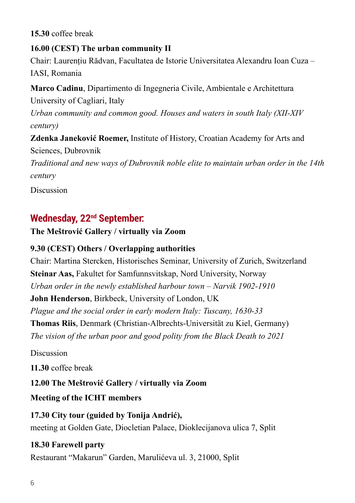#### **15.30** coffee break

**16.00 (CEST) The urban community II** 

Chair: Laurențiu Rădvan, Facultatea de Istorie Universitatea Alexandru Ioan Cuza – IASI, Romania

**Marco Cadinu**, Dipartimento di Ingegneria Civile, Ambientale e Architettura University of Cagliari, Italy *Urban community and common good. Houses and waters in south Italy (XII-XIV century)*

**Zdenka Janeković Roemer,** Institute of History, Croatian Academy for Arts and Sciences, Dubrovnik

*Traditional and new ways of Dubrovnik noble elite to maintain urban order in the 14th century*

Discussion

#### **Wednesday, 22nd September:**

**The Meštrović Gallery / virtually via Zoom**

#### **9.30 (CEST) Others / Overlapping authorities**

Chair: Martina Stercken, Historisches Seminar, University of Zurich, Switzerland **Steinar Aas,** Fakultet for Samfunnsvitskap, Nord University, Norway *Urban order in the newly established harbour town – Narvik 1902-1910*

**John Henderson**, Birkbeck, University of London, UK

*Plague and the social order in early modern Italy: Tuscany, 1630-33*

**Thomas Riis**, Denmark (Christian-Albrechts-Universität zu Kiel, Germany) *The vision of the urban poor and good polity from the Black Death to 2021*

Discussion

**11.30** coffee break

**12.00 The Meštrović Gallery / virtually via Zoom**

**Meeting of the ICHT members**

**17.30 City tour (guided by Tonija Andrić),**  meeting at Golden Gate, Diocletian Palace, Dioklecijanova ulica 7, Split

#### **18.30 Farewell party**

Restaurant "Makarun" Garden, Marulićeva ul. 3, 21000, Split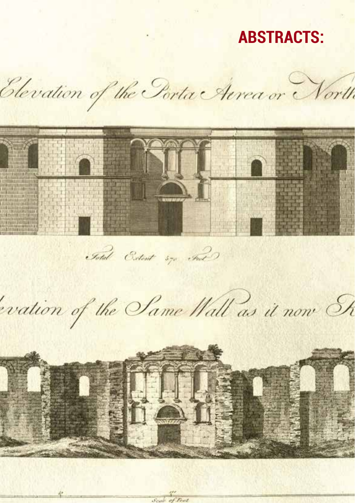# **ABSTRACTS:**

Elevation of the Porta Aerea or North n NJL Fotal Extent \$70 Find evation of the Same Wall as it now Sh  $\bigcirc$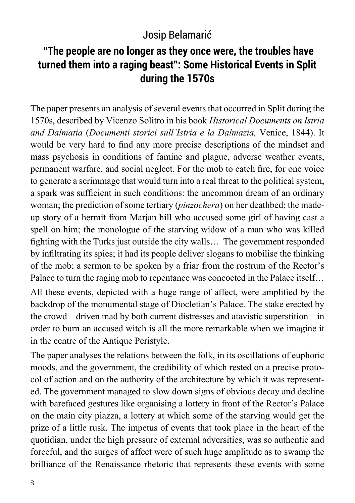## Josip Belamarić

## **"The people are no longer as they once were, the troubles have turned them into a raging beast": Some Historical Events in Split during the 1570s**

The paper presents an analysis of several events that occurred in Split during the 1570s, described by Vicenzo Solitro in his book *Historical Documents on Istria and Dalmatia* (*Documenti storici sull'Istria e la Dalmazia,* Venice, 1844). It would be very hard to find any more precise descriptions of the mindset and mass psychosis in conditions of famine and plague, adverse weather events, permanent warfare, and social neglect. For the mob to catch fire, for one voice to generate a scrimmage that would turn into a real threat to the political system, a spark was sufficient in such conditions: the uncommon dream of an ordinary woman; the prediction of some tertiary (*pinzochera*) on her deathbed; the madeup story of a hermit from Marjan hill who accused some girl of having cast a spell on him; the monologue of the starving widow of a man who was killed fighting with the Turks just outside the city walls… The government responded by infiltrating its spies; it had its people deliver slogans to mobilise the thinking of the mob; a sermon to be spoken by a friar from the rostrum of the Rector's Palace to turn the raging mob to repentance was concocted in the Palace itself...

All these events, depicted with a huge range of affect, were amplified by the backdrop of the monumental stage of Diocletian's Palace. The stake erected by the crowd – driven mad by both current distresses and atavistic superstition – in order to burn an accused witch is all the more remarkable when we imagine it in the centre of the Antique Peristyle.

The paper analyses the relations between the folk, in its oscillations of euphoric moods, and the government, the credibility of which rested on a precise protocol of action and on the authority of the architecture by which it was represented. The government managed to slow down signs of obvious decay and decline with barefaced gestures like organising a lottery in front of the Rector's Palace on the main city piazza, a lottery at which some of the starving would get the prize of a little rusk. The impetus of events that took place in the heart of the quotidian, under the high pressure of external adversities, was so authentic and forceful, and the surges of affect were of such huge amplitude as to swamp the brilliance of the Renaissance rhetoric that represents these events with some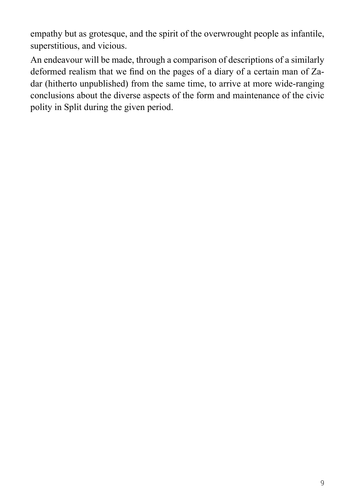empathy but as grotesque, and the spirit of the overwrought people as infantile, superstitious, and vicious.

An endeavour will be made, through a comparison of descriptions of a similarly deformed realism that we find on the pages of a diary of a certain man of Zadar (hitherto unpublished) from the same time, to arrive at more wide-ranging conclusions about the diverse aspects of the form and maintenance of the civic polity in Split during the given period.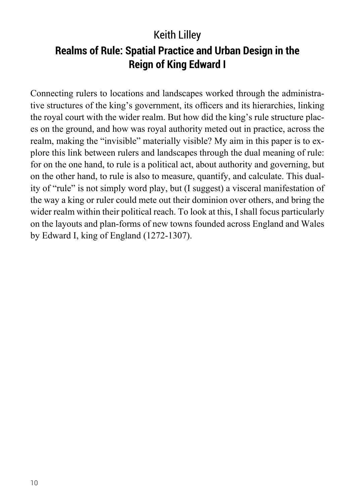# Keith Lilley **Realms of Rule: Spatial Practice and Urban Design in the Reign of King Edward I**

Connecting rulers to locations and landscapes worked through the administrative structures of the king's government, its officers and its hierarchies, linking the royal court with the wider realm. But how did the king's rule structure places on the ground, and how was royal authority meted out in practice, across the realm, making the "invisible" materially visible? My aim in this paper is to explore this link between rulers and landscapes through the dual meaning of rule: for on the one hand, to rule is a political act, about authority and governing, but on the other hand, to rule is also to measure, quantify, and calculate. This duality of "rule" is not simply word play, but (I suggest) a visceral manifestation of the way a king or ruler could mete out their dominion over others, and bring the wider realm within their political reach. To look at this, I shall focus particularly on the layouts and plan-forms of new towns founded across England and Wales by Edward I, king of England (1272-1307).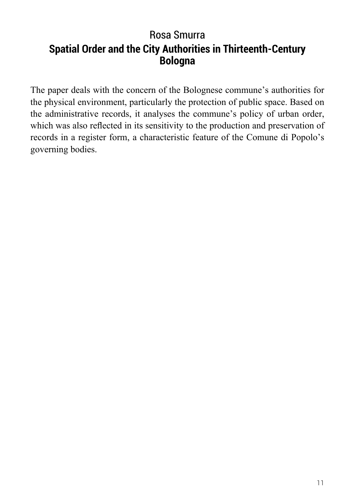## Rosa Smurra **Spatial Order and the City Authorities in Thirteenth-Century Bologna**

The paper deals with the concern of the Bolognese commune's authorities for the physical environment, particularly the protection of public space. Based on the administrative records, it analyses the commune's policy of urban order, which was also reflected in its sensitivity to the production and preservation of records in a register form, a characteristic feature of the Comune di Popolo's governing bodies.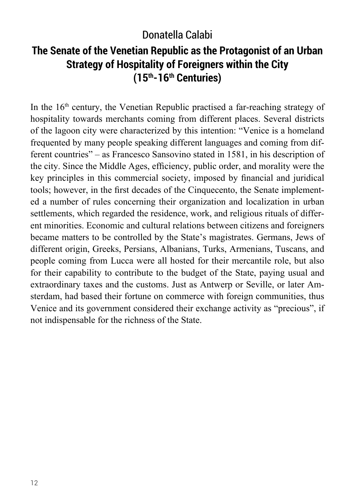## Donatella Calabi

## **The Senate of the Venetian Republic as the Protagonist of an Urban Strategy of Hospitality of Foreigners within the City (15th-16th Centuries)**

In the  $16<sup>th</sup>$  century, the Venetian Republic practised a far-reaching strategy of hospitality towards merchants coming from different places. Several districts of the lagoon city were characterized by this intention: "Venice is a homeland frequented by many people speaking different languages and coming from different countries" – as Francesco Sansovino stated in 1581, in his description of the city. Since the Middle Ages, efficiency, public order, and morality were the key principles in this commercial society, imposed by financial and juridical tools; however, in the first decades of the Cinquecento, the Senate implemented a number of rules concerning their organization and localization in urban settlements, which regarded the residence, work, and religious rituals of different minorities. Economic and cultural relations between citizens and foreigners became matters to be controlled by the State's magistrates. Germans, Jews of different origin, Greeks, Persians, Albanians, Turks, Armenians, Tuscans, and people coming from Lucca were all hosted for their mercantile role, but also for their capability to contribute to the budget of the State, paying usual and extraordinary taxes and the customs. Just as Antwerp or Seville, or later Amsterdam, had based their fortune on commerce with foreign communities, thus Venice and its government considered their exchange activity as "precious", if not indispensable for the richness of the State.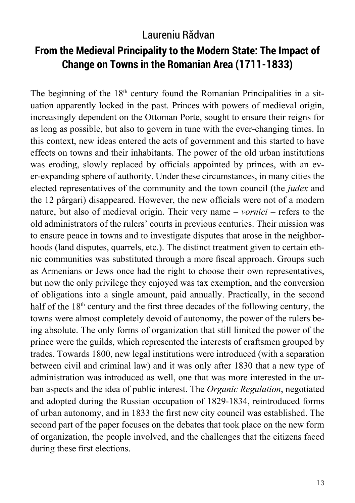### Laureniu Rădvan

## **From the Medieval Principality to the Modern State: The Impact of Change on Towns in the Romanian Area (1711-1833)**

The beginning of the  $18<sup>th</sup>$  century found the Romanian Principalities in a situation apparently locked in the past. Princes with powers of medieval origin, increasingly dependent on the Ottoman Porte, sought to ensure their reigns for as long as possible, but also to govern in tune with the ever-changing times. In this context, new ideas entered the acts of government and this started to have effects on towns and their inhabitants. The power of the old urban institutions was eroding, slowly replaced by officials appointed by princes, with an ever-expanding sphere of authority. Under these circumstances, in many cities the elected representatives of the community and the town council (the *judex* and the 12 pârgari) disappeared. However, the new officials were not of a modern nature, but also of medieval origin. Their very name – *vornici* – refers to the old administrators of the rulers' courts in previous centuries. Their mission was to ensure peace in towns and to investigate disputes that arose in the neighborhoods (land disputes, quarrels, etc.). The distinct treatment given to certain ethnic communities was substituted through a more fiscal approach. Groups such as Armenians or Jews once had the right to choose their own representatives, but now the only privilege they enjoyed was tax exemption, and the conversion of obligations into a single amount, paid annually. Practically, in the second half of the 18<sup>th</sup> century and the first three decades of the following century, the towns were almost completely devoid of autonomy, the power of the rulers being absolute. The only forms of organization that still limited the power of the prince were the guilds, which represented the interests of craftsmen grouped by trades. Towards 1800, new legal institutions were introduced (with a separation between civil and criminal law) and it was only after 1830 that a new type of administration was introduced as well, one that was more interested in the urban aspects and the idea of public interest. The *Organic Regulation*, negotiated and adopted during the Russian occupation of 1829-1834, reintroduced forms of urban autonomy, and in 1833 the first new city council was established. The second part of the paper focuses on the debates that took place on the new form of organization, the people involved, and the challenges that the citizens faced during these first elections.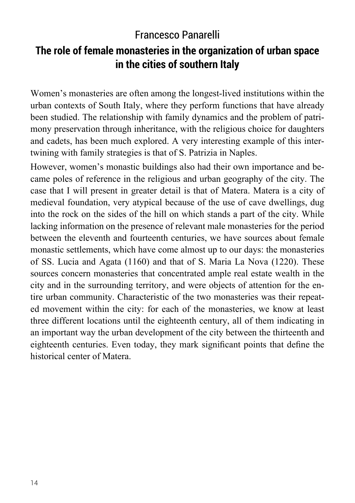## Francesco Panarelli

## **The role of female monasteries in the organization of urban space in the cities of southern Italy**

Women's monasteries are often among the longest-lived institutions within the urban contexts of South Italy, where they perform functions that have already been studied. The relationship with family dynamics and the problem of patrimony preservation through inheritance, with the religious choice for daughters and cadets, has been much explored. A very interesting example of this intertwining with family strategies is that of S. Patrizia in Naples.

However, women's monastic buildings also had their own importance and became poles of reference in the religious and urban geography of the city. The case that I will present in greater detail is that of Matera. Matera is a city of medieval foundation, very atypical because of the use of cave dwellings, dug into the rock on the sides of the hill on which stands a part of the city. While lacking information on the presence of relevant male monasteries for the period between the eleventh and fourteenth centuries, we have sources about female monastic settlements, which have come almost up to our days: the monasteries of SS. Lucia and Agata (1160) and that of S. Maria La Nova (1220). These sources concern monasteries that concentrated ample real estate wealth in the city and in the surrounding territory, and were objects of attention for the entire urban community. Characteristic of the two monasteries was their repeated movement within the city: for each of the monasteries, we know at least three different locations until the eighteenth century, all of them indicating in an important way the urban development of the city between the thirteenth and eighteenth centuries. Even today, they mark significant points that define the historical center of Matera.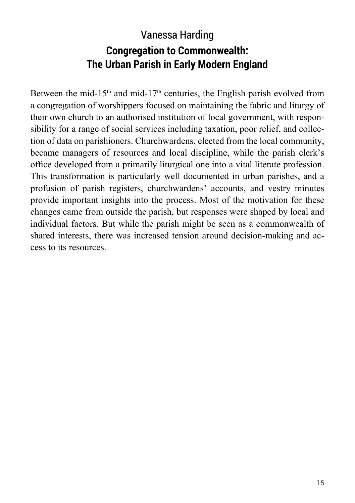# Vanessa Harding **Congregation to Commonwealth: The Urban Parish in Early Modern England**

Between the mid-15<sup>th</sup> and mid-17<sup>th</sup> centuries, the English parish evolved from a congregation of worshippers focused on maintaining the fabric and liturgy of their own church to an authorised institution of local government, with responsibility for a range of social services including taxation, poor relief, and collection of data on parishioners. Churchwardens, elected from the local community, became managers of resources and local discipline, while the parish clerk's office developed from a primarily liturgical one into a vital literate profession. This transformation is particularly well documented in urban parishes, and a profusion of parish registers, churchwardens' accounts, and vestry minutes provide important insights into the process. Most of the motivation for these changes came from outside the parish, but responses were shaped by local and individual factors. But while the parish might be seen as a commonwealth of shared interests, there was increased tension around decision-making and access to its resources.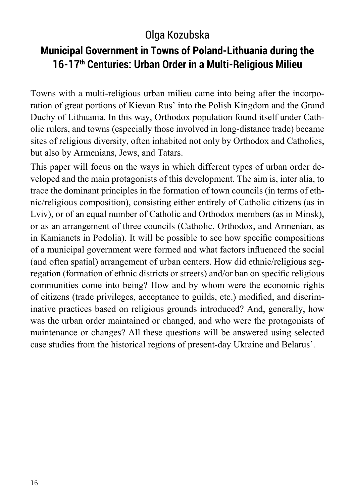## Olga Kozubska

## **Municipal Government in Towns of Poland-Lithuania during the 16-17th Centuries: Urban Order in a Multi-Religious Milieu**

Towns with a multi-religious urban milieu came into being after the incorporation of great portions of Kievan Rus' into the Polish Kingdom and the Grand Duchy of Lithuania. In this way, Orthodox population found itself under Catholic rulers, and towns (especially those involved in long-distance trade) became sites of religious diversity, often inhabited not only by Orthodox and Catholics, but also by Armenians, Jews, and Tatars.

This paper will focus on the ways in which different types of urban order developed and the main protagonists of this development. The aim is, inter alia, to trace the dominant principles in the formation of town councils (in terms of ethnic/religious composition), consisting either entirely of Catholic citizens (as in Lviv), or of an equal number of Catholic and Orthodox members (as in Minsk), or as an arrangement of three councils (Catholic, Orthodox, and Armenian, as in Kamianets in Podolia). It will be possible to see how specific compositions of a municipal government were formed and what factors influenced the social (and often spatial) arrangement of urban centers. How did ethnic/religious segregation (formation of ethnic districts or streets) and/or ban on specific religious communities come into being? How and by whom were the economic rights of citizens (trade privileges, acceptance to guilds, etc.) modified, and discriminative practices based on religious grounds introduced? And, generally, how was the urban order maintained or changed, and who were the protagonists of maintenance or changes? All these questions will be answered using selected case studies from the historical regions of present-day Ukraine and Belarus'.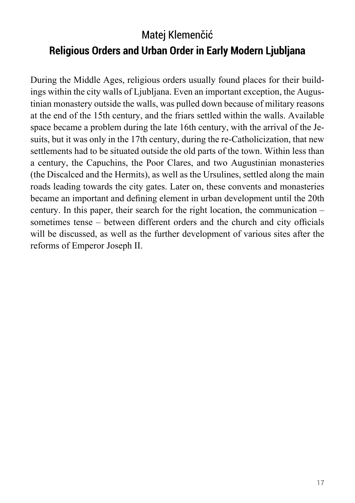# Matej Klemenčić **Religious Orders and Urban Order in Early Modern Ljubljana**

During the Middle Ages, religious orders usually found places for their buildings within the city walls of Ljubljana. Even an important exception, the Augustinian monastery outside the walls, was pulled down because of military reasons at the end of the 15th century, and the friars settled within the walls. Available space became a problem during the late 16th century, with the arrival of the Jesuits, but it was only in the 17th century, during the re-Catholicization, that new settlements had to be situated outside the old parts of the town. Within less than a century, the Capuchins, the Poor Clares, and two Augustinian monasteries (the Discalced and the Hermits), as well as the Ursulines, settled along the main roads leading towards the city gates. Later on, these convents and monasteries became an important and defining element in urban development until the 20th century. In this paper, their search for the right location, the communication – sometimes tense – between different orders and the church and city officials will be discussed, as well as the further development of various sites after the reforms of Emperor Joseph II.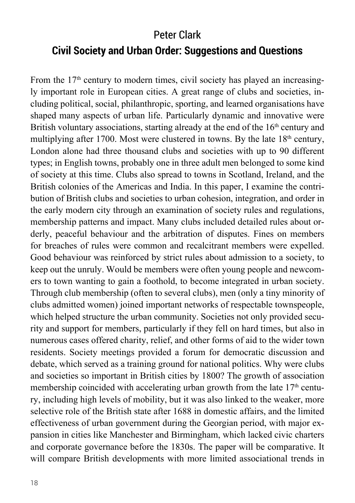# Peter Clark **Civil Society and Urban Order: Suggestions and Questions**

From the 17<sup>th</sup> century to modern times, civil society has played an increasingly important role in European cities. A great range of clubs and societies, including political, social, philanthropic, sporting, and learned organisations have shaped many aspects of urban life. Particularly dynamic and innovative were British voluntary associations, starting already at the end of the  $16<sup>th</sup>$  century and multiplying after 1700. Most were clustered in towns. By the late  $18<sup>th</sup>$  century, London alone had three thousand clubs and societies with up to 90 different types; in English towns, probably one in three adult men belonged to some kind of society at this time. Clubs also spread to towns in Scotland, Ireland, and the British colonies of the Americas and India. In this paper, I examine the contribution of British clubs and societies to urban cohesion, integration, and order in the early modern city through an examination of society rules and regulations, membership patterns and impact. Many clubs included detailed rules about orderly, peaceful behaviour and the arbitration of disputes. Fines on members for breaches of rules were common and recalcitrant members were expelled. Good behaviour was reinforced by strict rules about admission to a society, to keep out the unruly. Would be members were often young people and newcomers to town wanting to gain a foothold, to become integrated in urban society. Through club membership (often to several clubs), men (only a tiny minority of clubs admitted women) joined important networks of respectable townspeople, which helped structure the urban community. Societies not only provided security and support for members, particularly if they fell on hard times, but also in numerous cases offered charity, relief, and other forms of aid to the wider town residents. Society meetings provided a forum for democratic discussion and debate, which served as a training ground for national politics. Why were clubs and societies so important in British cities by 1800? The growth of association membership coincided with accelerating urban growth from the late  $17<sup>th</sup>$  century, including high levels of mobility, but it was also linked to the weaker, more selective role of the British state after 1688 in domestic affairs, and the limited effectiveness of urban government during the Georgian period, with major expansion in cities like Manchester and Birmingham, which lacked civic charters and corporate governance before the 1830s. The paper will be comparative. It will compare British developments with more limited associational trends in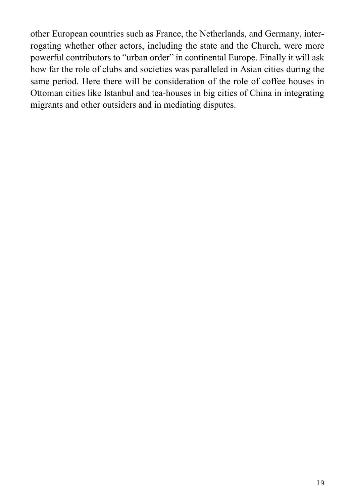other European countries such as France, the Netherlands, and Germany, interrogating whether other actors, including the state and the Church, were more powerful contributors to "urban order" in continental Europe. Finally it will ask how far the role of clubs and societies was paralleled in Asian cities during the same period. Here there will be consideration of the role of coffee houses in Ottoman cities like Istanbul and tea-houses in big cities of China in integrating migrants and other outsiders and in mediating disputes.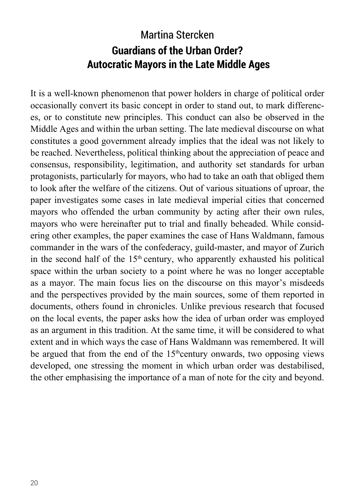## Martina Stercken **Guardians of the Urban Order? Autocratic Mayors in the Late Middle Ages**

It is a well-known phenomenon that power holders in charge of political order occasionally convert its basic concept in order to stand out, to mark differences, or to constitute new principles. This conduct can also be observed in the Middle Ages and within the urban setting. The late medieval discourse on what constitutes a good government already implies that the ideal was not likely to be reached. Nevertheless, political thinking about the appreciation of peace and consensus, responsibility, legitimation, and authority set standards for urban protagonists, particularly for mayors, who had to take an oath that obliged them to look after the welfare of the citizens. Out of various situations of uproar, the paper investigates some cases in late medieval imperial cities that concerned mayors who offended the urban community by acting after their own rules, mayors who were hereinafter put to trial and finally beheaded. While considering other examples, the paper examines the case of Hans Waldmann, famous commander in the wars of the confederacy, guild-master, and mayor of Zurich in the second half of the  $15<sup>th</sup>$  century, who apparently exhausted his political space within the urban society to a point where he was no longer acceptable as a mayor. The main focus lies on the discourse on this mayor's misdeeds and the perspectives provided by the main sources, some of them reported in documents, others found in chronicles. Unlike previous research that focused on the local events, the paper asks how the idea of urban order was employed as an argument in this tradition. At the same time, it will be considered to what extent and in which ways the case of Hans Waldmann was remembered. It will be argued that from the end of the  $15<sup>th</sup>$ century onwards, two opposing views developed, one stressing the moment in which urban order was destabilised, the other emphasising the importance of a man of note for the city and beyond.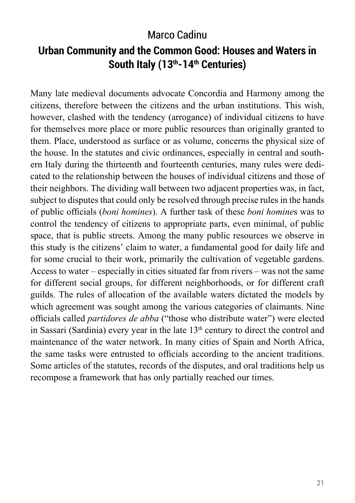### Marco Cadinu

## **Urban Community and the Common Good: Houses and Waters in South Italy (13th-14th Centuries)**

Many late medieval documents advocate Concordia and Harmony among the citizens, therefore between the citizens and the urban institutions. This wish, however, clashed with the tendency (arrogance) of individual citizens to have for themselves more place or more public resources than originally granted to them. Place, understood as surface or as volume, concerns the physical size of the house. In the statutes and civic ordinances, especially in central and southern Italy during the thirteenth and fourteenth centuries, many rules were dedicated to the relationship between the houses of individual citizens and those of their neighbors. The dividing wall between two adjacent properties was, in fact, subject to disputes that could only be resolved through precise rules in the hands of public officials (*boni homines*). A further task of these *boni homine*s was to control the tendency of citizens to appropriate parts, even minimal, of public space, that is public streets. Among the many public resources we observe in this study is the citizens' claim to water, a fundamental good for daily life and for some crucial to their work, primarily the cultivation of vegetable gardens. Access to water – especially in cities situated far from rivers – was not the same for different social groups, for different neighborhoods, or for different craft guilds. The rules of allocation of the available waters dictated the models by which agreement was sought among the various categories of claimants. Nine officials called *partidores de abba* ("those who distribute water") were elected in Sassari (Sardinia) every year in the late  $13<sup>th</sup>$  century to direct the control and maintenance of the water network. In many cities of Spain and North Africa, the same tasks were entrusted to officials according to the ancient traditions. Some articles of the statutes, records of the disputes, and oral traditions help us recompose a framework that has only partially reached our times.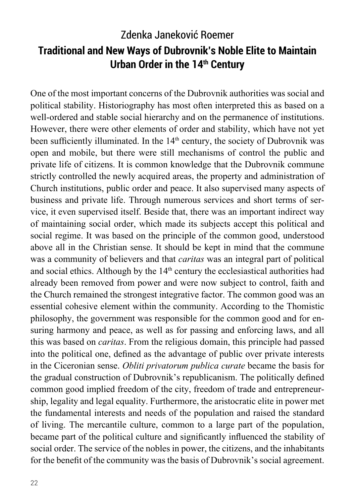# Zdenka Janeković Roemer **Traditional and New Ways of Dubrovnik's Noble Elite to Maintain Urban Order in the 14th Century**

One of the most important concerns of the Dubrovnik authorities was social and political stability. Historiography has most often interpreted this as based on a well-ordered and stable social hierarchy and on the permanence of institutions. However, there were other elements of order and stability, which have not yet been sufficiently illuminated. In the 14<sup>th</sup> century, the society of Dubrovnik was open and mobile, but there were still mechanisms of control the public and private life of citizens. It is common knowledge that the Dubrovnik commune strictly controlled the newly acquired areas, the property and administration of Church institutions, public order and peace. It also supervised many aspects of business and private life. Through numerous services and short terms of service, it even supervised itself. Beside that, there was an important indirect way of maintaining social order, which made its subjects accept this political and social regime. It was based on the principle of the common good, understood above all in the Christian sense. It should be kept in mind that the commune was a community of believers and that *caritas* was an integral part of political and social ethics. Although by the 14<sup>th</sup> century the ecclesiastical authorities had already been removed from power and were now subject to control, faith and the Church remained the strongest integrative factor. The common good was an essential cohesive element within the community. According to the Thomistic philosophy, the government was responsible for the common good and for ensuring harmony and peace, as well as for passing and enforcing laws, and all this was based on *caritas*. From the religious domain, this principle had passed into the political one, defined as the advantage of public over private interests in the Ciceronian sense. *Obliti privatorum publica curate* became the basis for the gradual construction of Dubrovnik's republicanism. The politically defined common good implied freedom of the city, freedom of trade and entrepreneurship, legality and legal equality. Furthermore, the aristocratic elite in power met the fundamental interests and needs of the population and raised the standard of living. The mercantile culture, common to a large part of the population, became part of the political culture and significantly influenced the stability of social order. The service of the nobles in power, the citizens, and the inhabitants for the benefit of the community was the basis of Dubrovnik's social agreement.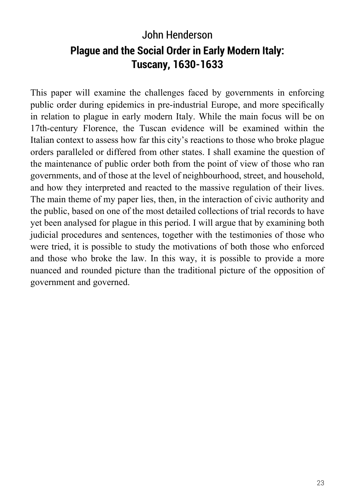# John Henderson **Plague and the Social Order in Early Modern Italy: Tuscany, 1630-1633**

This paper will examine the challenges faced by governments in enforcing public order during epidemics in pre-industrial Europe, and more specifically in relation to plague in early modern Italy. While the main focus will be on 17th-century Florence, the Tuscan evidence will be examined within the Italian context to assess how far this city's reactions to those who broke plague orders paralleled or differed from other states. I shall examine the question of the maintenance of public order both from the point of view of those who ran governments, and of those at the level of neighbourhood, street, and household, and how they interpreted and reacted to the massive regulation of their lives. The main theme of my paper lies, then, in the interaction of civic authority and the public, based on one of the most detailed collections of trial records to have yet been analysed for plague in this period. I will argue that by examining both judicial procedures and sentences, together with the testimonies of those who were tried, it is possible to study the motivations of both those who enforced and those who broke the law. In this way, it is possible to provide a more nuanced and rounded picture than the traditional picture of the opposition of government and governed.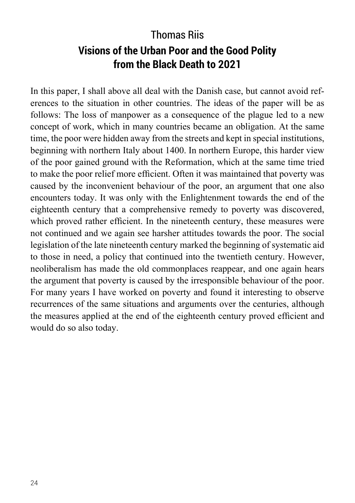# Thomas Riis **Visions of the Urban Poor and the Good Polity from the Black Death to 2021**

In this paper, I shall above all deal with the Danish case, but cannot avoid references to the situation in other countries. The ideas of the paper will be as follows: The loss of manpower as a consequence of the plague led to a new concept of work, which in many countries became an obligation. At the same time, the poor were hidden away from the streets and kept in special institutions, beginning with northern Italy about 1400. In northern Europe, this harder view of the poor gained ground with the Reformation, which at the same time tried to make the poor relief more efficient. Often it was maintained that poverty was caused by the inconvenient behaviour of the poor, an argument that one also encounters today. It was only with the Enlightenment towards the end of the eighteenth century that a comprehensive remedy to poverty was discovered, which proved rather efficient. In the nineteenth century, these measures were not continued and we again see harsher attitudes towards the poor. The social legislation of the late nineteenth century marked the beginning of systematic aid to those in need, a policy that continued into the twentieth century. However, neoliberalism has made the old commonplaces reappear, and one again hears the argument that poverty is caused by the irresponsible behaviour of the poor. For many years I have worked on poverty and found it interesting to observe recurrences of the same situations and arguments over the centuries, although the measures applied at the end of the eighteenth century proved efficient and would do so also today.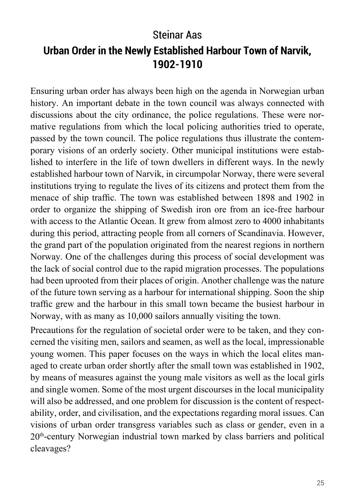# Steinar Aas **Urban Order in the Newly Established Harbour Town of Narvik, 1902-1910**

Ensuring urban order has always been high on the agenda in Norwegian urban history. An important debate in the town council was always connected with discussions about the city ordinance, the police regulations. These were normative regulations from which the local policing authorities tried to operate, passed by the town council. The police regulations thus illustrate the contemporary visions of an orderly society. Other municipal institutions were established to interfere in the life of town dwellers in different ways. In the newly established harbour town of Narvik, in circumpolar Norway, there were several institutions trying to regulate the lives of its citizens and protect them from the menace of ship traffic. The town was established between 1898 and 1902 in order to organize the shipping of Swedish iron ore from an ice-free harbour with access to the Atlantic Ocean. It grew from almost zero to 4000 inhabitants during this period, attracting people from all corners of Scandinavia. However, the grand part of the population originated from the nearest regions in northern Norway. One of the challenges during this process of social development was the lack of social control due to the rapid migration processes. The populations had been uprooted from their places of origin. Another challenge was the nature of the future town serving as a harbour for international shipping. Soon the ship traffic grew and the harbour in this small town became the busiest harbour in Norway, with as many as 10,000 sailors annually visiting the town.

Precautions for the regulation of societal order were to be taken, and they concerned the visiting men, sailors and seamen, as well as the local, impressionable young women. This paper focuses on the ways in which the local elites managed to create urban order shortly after the small town was established in 1902, by means of measures against the young male visitors as well as the local girls and single women. Some of the most urgent discourses in the local municipality will also be addressed, and one problem for discussion is the content of respectability, order, and civilisation, and the expectations regarding moral issues. Can visions of urban order transgress variables such as class or gender, even in a 20th-century Norwegian industrial town marked by class barriers and political cleavages?